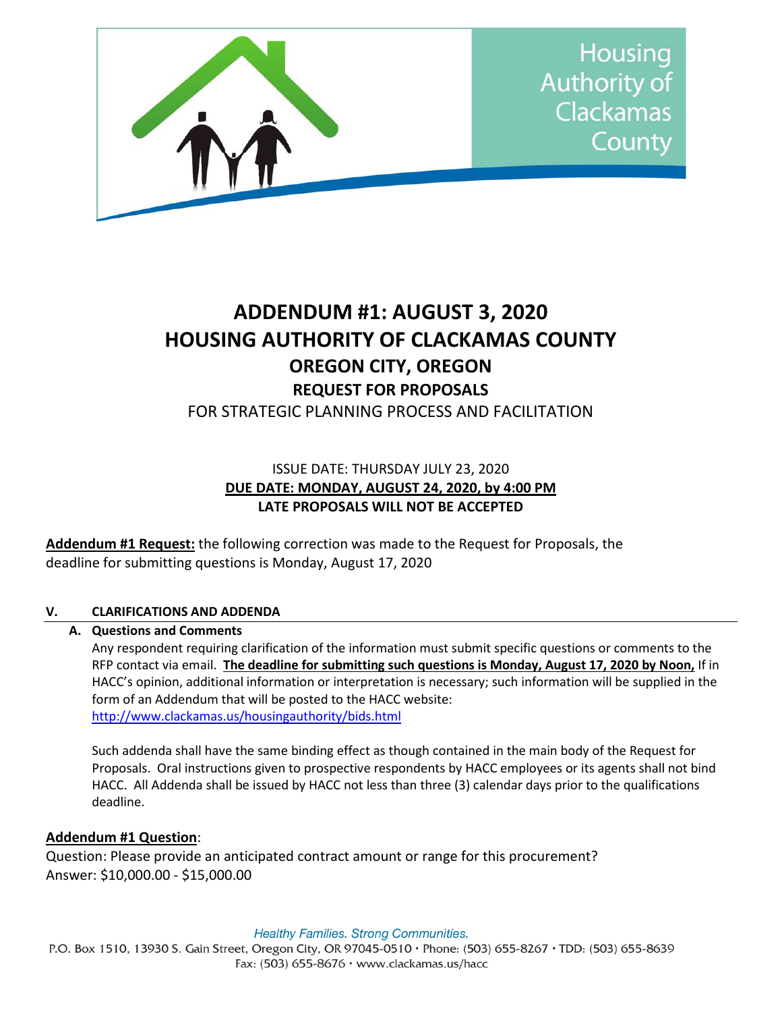

# **ADDENDUM #1: AUGUST 3, 2020 HOUSING AUTHORITY OF CLACKAMAS COUNTY OREGON CITY, OREGON REQUEST FOR PROPOSALS** FOR STRATEGIC PLANNING PROCESS AND FACILITATION

## ISSUE DATE: THURSDAY JULY 23, 2020 **DUE DATE: MONDAY, AUGUST 24, 2020, by 4:00 PM LATE PROPOSALS WILL NOT BE ACCEPTED**

**Addendum #1 Request:** the following correction was made to the Request for Proposals, the deadline for submitting questions is Monday, August 17, 2020

## **V. CLARIFICATIONS AND ADDENDA**

### **A. Questions and Comments**

Any respondent requiring clarification of the information must submit specific questions or comments to the RFP contact via email. **The deadline for submitting such questions is Monday, August 17, 2020 by Noon,** If in HACC's opinion, additional information or interpretation is necessary; such information will be supplied in the form of an Addendum that will be posted to the HACC website: <http://www.clackamas.us/housingauthority/bids.html>

Such addenda shall have the same binding effect as though contained in the main body of the Request for Proposals. Oral instructions given to prospective respondents by HACC employees or its agents shall not bind HACC. All Addenda shall be issued by HACC not less than three (3) calendar days prior to the qualifications deadline.

### **Addendum #1 Question**:

Question: Please provide an anticipated contract amount or range for this procurement? Answer: \$10,000.00 - \$15,000.00

**Healthy Families. Strong Communities.** 

P.O. Box 1510, 13930 S. Gain Street, Oregon City, OR 97045-0510 · Phone: (503) 655-8267 · TDD: (503) 655-8639 Fax: (503) 655-8676 · www.clackamas.us/hacc